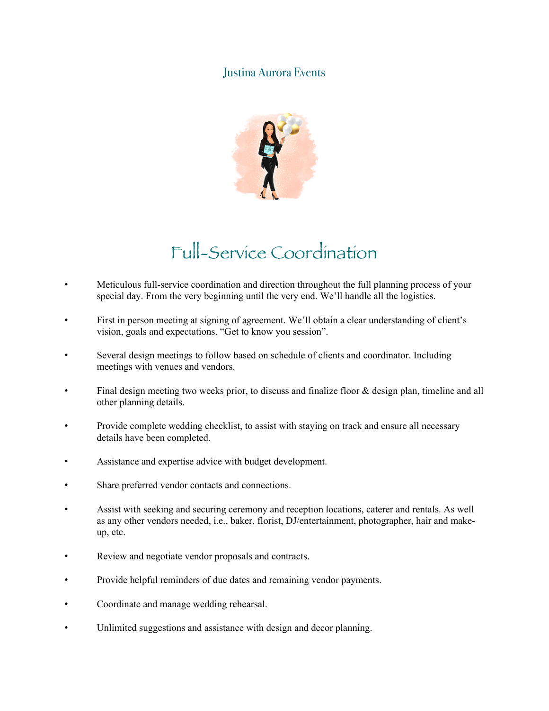## Justina Aurora Events



## Full-Service Coordination

- Meticulous full-service coordination and direction throughout the full planning process of your special day. From the very beginning until the very end. We'll handle all the logistics.
- First in person meeting at signing of agreement. We'll obtain a clear understanding of client's vision, goals and expectations. "Get to know you session".
- Several design meetings to follow based on schedule of clients and coordinator. Including meetings with venues and vendors.
- Final design meeting two weeks prior, to discuss and finalize floor & design plan, timeline and all other planning details.
- Provide complete wedding checklist, to assist with staying on track and ensure all necessary details have been completed.
- Assistance and expertise advice with budget development.
- Share preferred vendor contacts and connections.
- Assist with seeking and securing ceremony and reception locations, caterer and rentals. As well as any other vendors needed, i.e., baker, florist, DJ/entertainment, photographer, hair and makeup, etc.
- Review and negotiate vendor proposals and contracts.
- Provide helpful reminders of due dates and remaining vendor payments.
- Coordinate and manage wedding rehearsal.
- Unlimited suggestions and assistance with design and decor planning.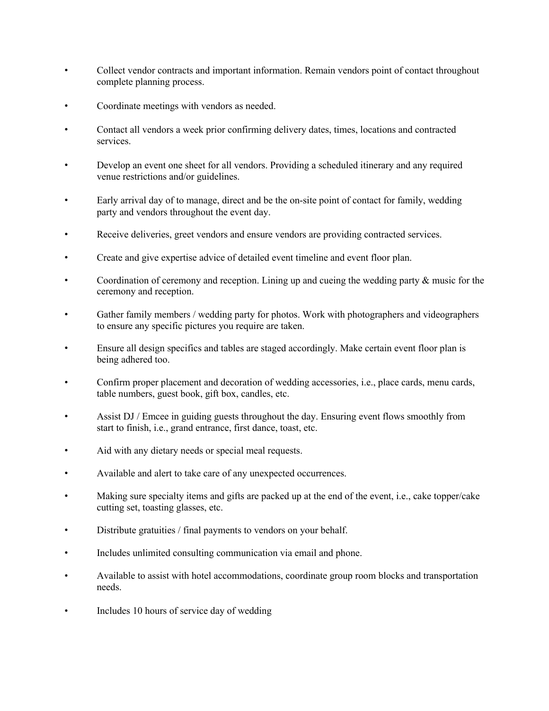- Collect vendor contracts and important information. Remain vendors point of contact throughout complete planning process.
- Coordinate meetings with vendors as needed.
- Contact all vendors a week prior confirming delivery dates, times, locations and contracted services.
- Develop an event one sheet for all vendors. Providing a scheduled itinerary and any required venue restrictions and/or guidelines.
- Early arrival day of to manage, direct and be the on-site point of contact for family, wedding party and vendors throughout the event day.
- Receive deliveries, greet vendors and ensure vendors are providing contracted services.
- Create and give expertise advice of detailed event timeline and event floor plan.
- Coordination of ceremony and reception. Lining up and cueing the wedding party & music for the ceremony and reception.
- Gather family members / wedding party for photos. Work with photographers and videographers to ensure any specific pictures you require are taken.
- Ensure all design specifics and tables are staged accordingly. Make certain event floor plan is being adhered too.
- Confirm proper placement and decoration of wedding accessories, i.e., place cards, menu cards, table numbers, guest book, gift box, candles, etc.
- Assist DJ / Emcee in guiding guests throughout the day. Ensuring event flows smoothly from start to finish, i.e., grand entrance, first dance, toast, etc.
- Aid with any dietary needs or special meal requests.
- Available and alert to take care of any unexpected occurrences.
- Making sure specialty items and gifts are packed up at the end of the event, i.e., cake topper/cake cutting set, toasting glasses, etc.
- Distribute gratuities / final payments to vendors on your behalf.
- Includes unlimited consulting communication via email and phone.
- Available to assist with hotel accommodations, coordinate group room blocks and transportation needs.
- Includes 10 hours of service day of wedding